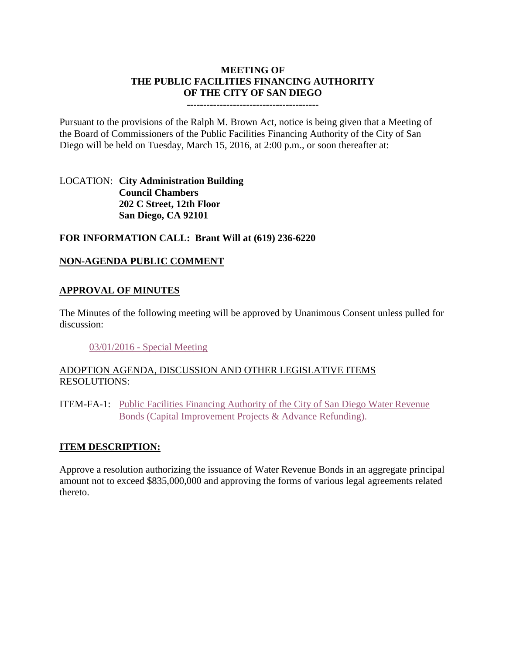## **MEETING OF THE PUBLIC FACILITIES FINANCING AUTHORITY OF THE CITY OF SAN DIEGO**

#### **----------------------------------------**

Pursuant to the provisions of the Ralph M. Brown Act, notice is being given that a Meeting of the Board of Commissioners of the Public Facilities Financing Authority of the City of San Diego will be held on Tuesday, March 15, 2016, at 2:00 p.m., or soon thereafter at:

LOCATION: **City Administration Building Council Chambers 202 C Street, 12th Floor San Diego, CA 92101** 

#### **FOR INFORMATION CALL: Brant Will at (619) 236-6220**

#### **NON-AGENDA PUBLIC COMMENT**

#### **APPROVAL OF MINUTES**

The Minutes of the following meeting will be approved by Unanimous Consent unless pulled for discussion:

03/01/2016 - [Special Meeting](http://www.sandiego.gov/sites/default/files/pffa_-_minutes_0.pdf)

### ADOPTION AGENDA, DISCUSSION AND OTHER LEGISLATIVE ITEMS RESOLUTIONS:

ITEM-FA-1: [Public Facilities Financing Authority of the City of San Diego Water Revenue](http://www.sandiego.gov/sites/default/files/fa-1_-_exhibits.pdf)  [Bonds \(Capital Improvement Projects & Advance Refunding\).](http://www.sandiego.gov/sites/default/files/fa-1_-_exhibits.pdf)

#### **ITEM DESCRIPTION:**

Approve a resolution authorizing the issuance of Water Revenue Bonds in an aggregate principal amount not to exceed \$835,000,000 and approving the forms of various legal agreements related thereto.